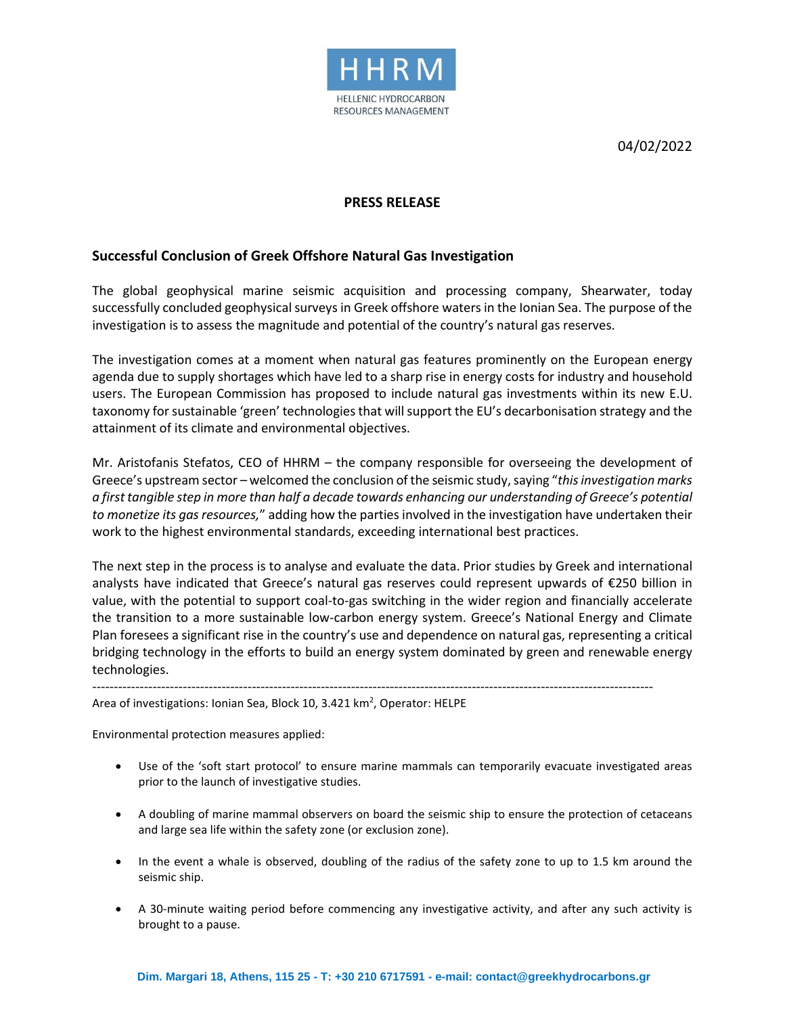

04/02/2022

## **PRESS RELEASE**

## **Successful Conclusion of Greek Offshore Natural Gas Investigation**

The global geophysical marine seismic acquisition and processing company, Shearwater, today successfully concluded geophysical surveys in Greek offshore waters in the Ionian Sea. The purpose of the investigation is to assess the magnitude and potential of the country's natural gas reserves.

The investigation comes at a moment when natural gas features prominently on the European energy agenda due to supply shortages which have led to a sharp rise in energy costs for industry and household users. The European Commission has proposed to include natural gas investments within its new E.U. taxonomy for sustainable 'green' technologies that will support the EU's decarbonisation strategy and the attainment of its climate and environmental objectives.

Mr. Aristofanis Stefatos, CEO of HHRM – the company responsible for overseeing the development of Greece's upstream sector – welcomed the conclusion of the seismic study,saying "*thisinvestigation marks* a first tangible step in more than half a decade towards enhancing our understanding of Greece's potential *to monetize its gas resources,*" adding how the parties involved in the investigation have undertaken their work to the highest environmental standards, exceeding international best practices.

The next step in the process is to analyse and evaluate the data. Prior studies by Greek and international analysts have indicated that Greece's natural gas reserves could represent upwards of €250 billion in value, with the potential to support coal-to-gas switching in the wider region and financially accelerate the transition to a more sustainable low-carbon energy system. Greece's National Energy and Climate Plan foresees a significant rise in the country's use and dependence on natural gas, representing a critical bridging technology in the efforts to build an energy system dominated by green and renewable energy technologies.

----------------------------------------------------------------------------------------------------------------------------------

Area of investigations: Ionian Sea, Block 10, 3.421 km<sup>2</sup>, Operator: HELPE

Environmental protection measures applied:

- Use of the 'soft start protocol' to ensure marine mammals can temporarily evacuate investigated areas prior to the launch of investigative studies.
- A doubling of marine mammal observers on board the seismic ship to ensure the protection of cetaceans and large sea life within the safety zone (or exclusion zone).
- In the event a whale is observed, doubling of the radius of the safety zone to up to 1.5 km around the seismic ship.
- A 30-minute waiting period before commencing any investigative activity, and after any such activity is brought to a pause.